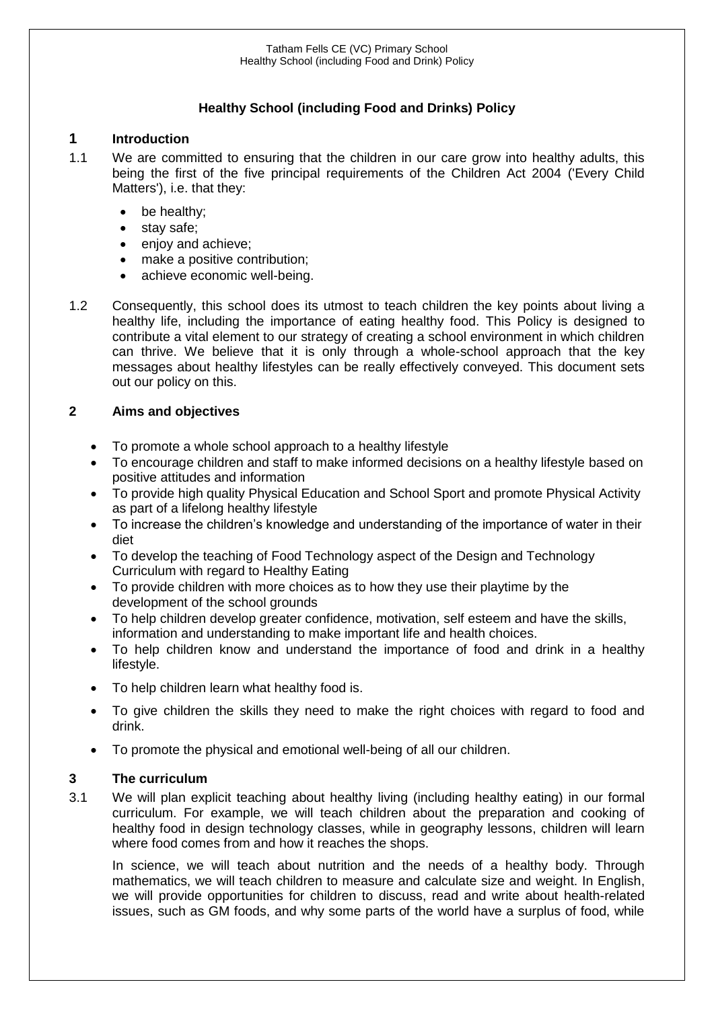# **Healthy School (including Food and Drinks) Policy**

### **1 Introduction**

- 1.1 We are committed to ensuring that the children in our care grow into healthy adults, this being the first of the five principal requirements of the Children Act 2004 ('Every Child Matters'), i.e. that they:
	- be healthy;
	- stay safe;
	- enjoy and achieve:
	- make a positive contribution;
	- achieve economic well-being.
- 1.2 Consequently, this school does its utmost to teach children the key points about living a healthy life, including the importance of eating healthy food. This Policy is designed to contribute a vital element to our strategy of creating a school environment in which children can thrive. We believe that it is only through a whole-school approach that the key messages about healthy lifestyles can be really effectively conveyed. This document sets out our policy on this.

### **2 Aims and objectives**

- To promote a whole school approach to a healthy lifestyle
- To encourage children and staff to make informed decisions on a healthy lifestyle based on positive attitudes and information
- To provide high quality Physical Education and School Sport and promote Physical Activity as part of a lifelong healthy lifestyle
- To increase the children's knowledge and understanding of the importance of water in their diet
- To develop the teaching of Food Technology aspect of the Design and Technology Curriculum with regard to Healthy Eating
- To provide children with more choices as to how they use their playtime by the development of the school grounds
- To help children develop greater confidence, motivation, self esteem and have the skills, information and understanding to make important life and health choices.
- To help children know and understand the importance of food and drink in a healthy lifestyle.
- To help children learn what healthy food is.
- To give children the skills they need to make the right choices with regard to food and drink.
- To promote the physical and emotional well-being of all our children.

### **3 The curriculum**

3.1 We will plan explicit teaching about healthy living (including healthy eating) in our formal curriculum. For example, we will teach children about the preparation and cooking of healthy food in design technology classes, while in geography lessons, children will learn where food comes from and how it reaches the shops.

In science, we will teach about nutrition and the needs of a healthy body. Through mathematics, we will teach children to measure and calculate size and weight. In English, we will provide opportunities for children to discuss, read and write about health-related issues, such as GM foods, and why some parts of the world have a surplus of food, while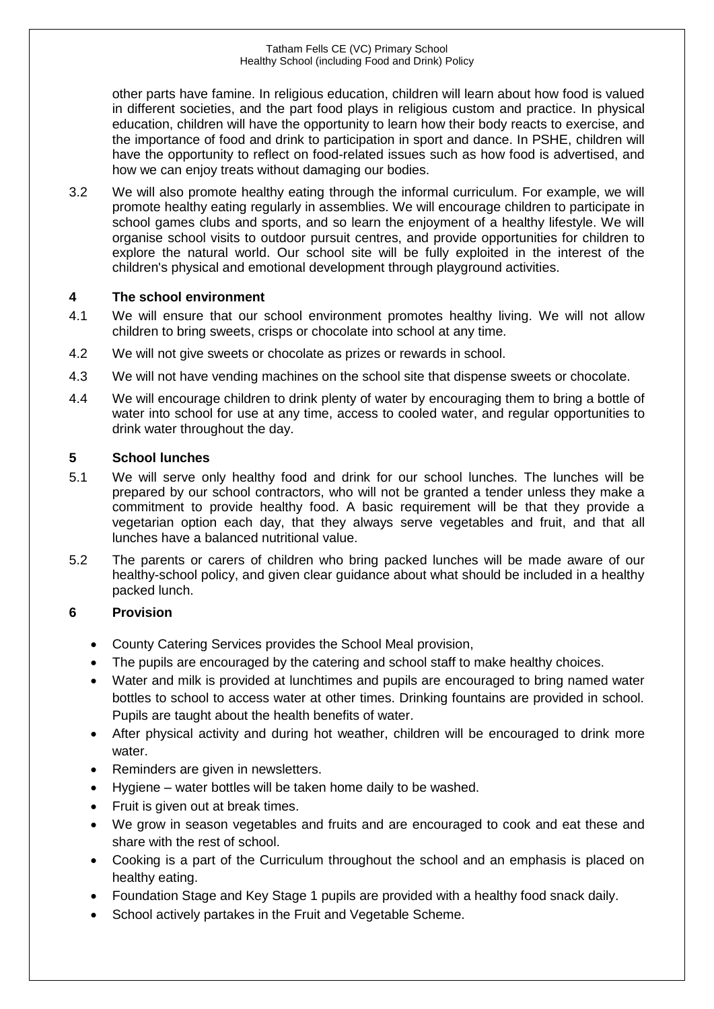other parts have famine. In religious education, children will learn about how food is valued in different societies, and the part food plays in religious custom and practice. In physical education, children will have the opportunity to learn how their body reacts to exercise, and the importance of food and drink to participation in sport and dance. In PSHE, children will have the opportunity to reflect on food-related issues such as how food is advertised, and how we can enjoy treats without damaging our bodies.

3.2 We will also promote healthy eating through the informal curriculum. For example, we will promote healthy eating regularly in assemblies. We will encourage children to participate in school games clubs and sports, and so learn the enjoyment of a healthy lifestyle. We will organise school visits to outdoor pursuit centres, and provide opportunities for children to explore the natural world. Our school site will be fully exploited in the interest of the children's physical and emotional development through playground activities.

## **4 The school environment**

- 4.1 We will ensure that our school environment promotes healthy living. We will not allow children to bring sweets, crisps or chocolate into school at any time.
- 4.2 We will not give sweets or chocolate as prizes or rewards in school.
- 4.3 We will not have vending machines on the school site that dispense sweets or chocolate.
- 4.4 We will encourage children to drink plenty of water by encouraging them to bring a bottle of water into school for use at any time, access to cooled water, and regular opportunities to drink water throughout the day.

### **5 School lunches**

- 5.1 We will serve only healthy food and drink for our school lunches. The lunches will be prepared by our school contractors, who will not be granted a tender unless they make a commitment to provide healthy food. A basic requirement will be that they provide a vegetarian option each day, that they always serve vegetables and fruit, and that all lunches have a balanced nutritional value.
- 5.2 The parents or carers of children who bring packed lunches will be made aware of our healthy-school policy, and given clear guidance about what should be included in a healthy packed lunch.

## **6 Provision**

- County Catering Services provides the School Meal provision,
- The pupils are encouraged by the catering and school staff to make healthy choices.
- Water and milk is provided at lunchtimes and pupils are encouraged to bring named water bottles to school to access water at other times. Drinking fountains are provided in school. Pupils are taught about the health benefits of water.
- After physical activity and during hot weather, children will be encouraged to drink more water.
- Reminders are given in newsletters.
- Hygiene water bottles will be taken home daily to be washed.
- Fruit is given out at break times.
- We grow in season vegetables and fruits and are encouraged to cook and eat these and share with the rest of school.
- Cooking is a part of the Curriculum throughout the school and an emphasis is placed on healthy eating.
- Foundation Stage and Key Stage 1 pupils are provided with a healthy food snack daily.
- School actively partakes in the Fruit and Vegetable Scheme.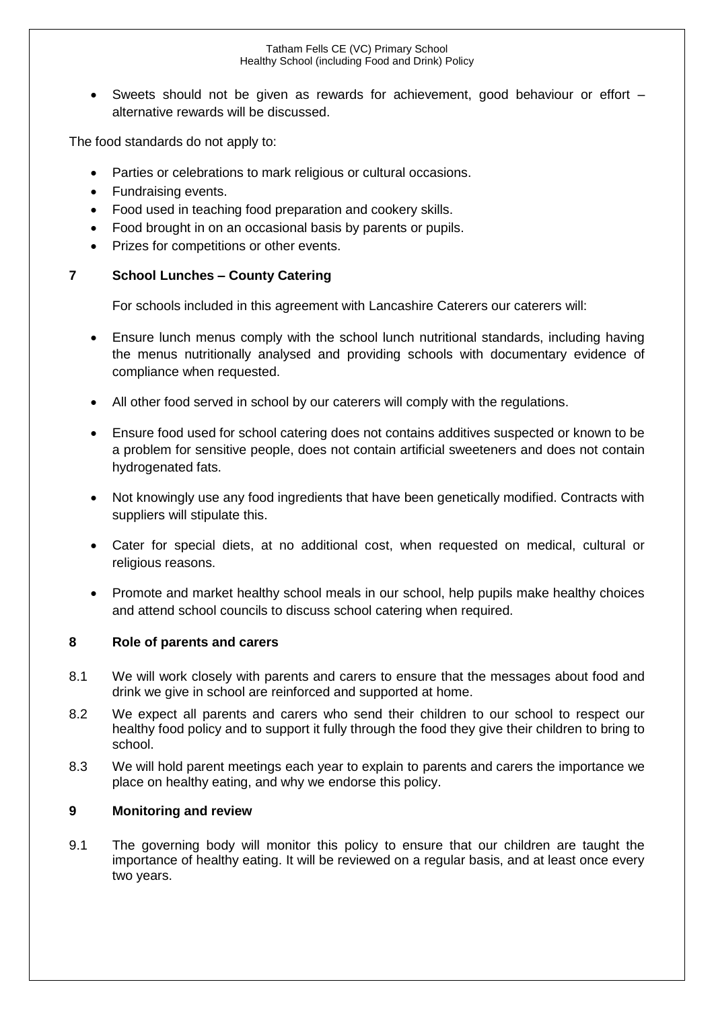#### Tatham Fells CE (VC) Primary School Healthy School (including Food and Drink) Policy

• Sweets should not be given as rewards for achievement, good behaviour or effort – alternative rewards will be discussed.

The food standards do not apply to:

- Parties or celebrations to mark religious or cultural occasions.
- Fundraising events.
- Food used in teaching food preparation and cookery skills.
- Food brought in on an occasional basis by parents or pupils.
- Prizes for competitions or other events.

### **7 School Lunches – County Catering**

For schools included in this agreement with Lancashire Caterers our caterers will:

- Ensure lunch menus comply with the school lunch nutritional standards, including having the menus nutritionally analysed and providing schools with documentary evidence of compliance when requested.
- All other food served in school by our caterers will comply with the regulations.
- Ensure food used for school catering does not contains additives suspected or known to be a problem for sensitive people, does not contain artificial sweeteners and does not contain hydrogenated fats.
- Not knowingly use any food ingredients that have been genetically modified. Contracts with suppliers will stipulate this.
- Cater for special diets, at no additional cost, when requested on medical, cultural or religious reasons.
- Promote and market healthy school meals in our school, help pupils make healthy choices and attend school councils to discuss school catering when required.

### **8 Role of parents and carers**

- 8.1 We will work closely with parents and carers to ensure that the messages about food and drink we give in school are reinforced and supported at home.
- 8.2 We expect all parents and carers who send their children to our school to respect our healthy food policy and to support it fully through the food they give their children to bring to school.
- 8.3 We will hold parent meetings each year to explain to parents and carers the importance we place on healthy eating, and why we endorse this policy.

### **9 Monitoring and review**

9.1 The governing body will monitor this policy to ensure that our children are taught the importance of healthy eating. It will be reviewed on a regular basis, and at least once every two years.